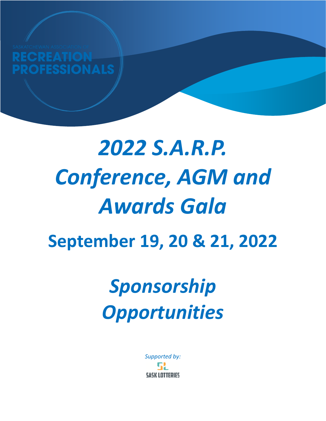EATION **FESSIONALS** 

# **September 19, 20 & 21, 2022** *2022 S.A.R.P. Conference, AGM and Awards Gala*

## *Sponsorship Opportunities*

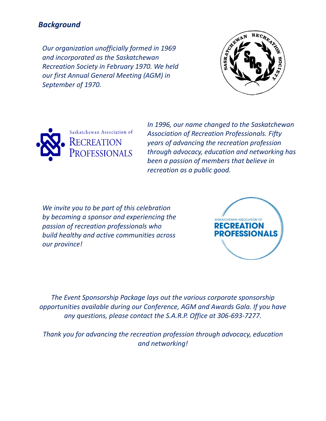### *Background*

*Our organization unofficially formed in 1969 and incorporated as the Saskatchewan Recreation Society in February 1970. We held our first Annual General Meeting (AGM) in September of 1970.*





*In 1996, our name changed to the Saskatchewan Association of Recreation Professionals. Fifty years of advancing the recreation profession through advocacy, education and networking has been a passion of members that believe in recreation as a public good.*

*We invite you to be part of this celebration by becoming a sponsor and experiencing the passion of recreation professionals who build healthy and active communities across our province!*



*The Event Sponsorship Package lays out the various corporate sponsorship opportunities available during our Conference, AGM and Awards Gala. If you have any questions, please contact the S.A.R.P. Office at 306-693-7277.*

*Thank you for advancing the recreation profession through advocacy, education and networking!*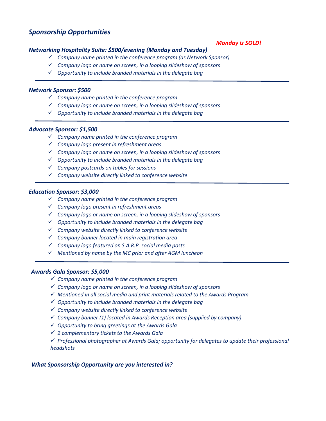#### *Sponsorship Opportunities*

#### *Monday is SOLD!*

#### *Networking Hospitality Suite: \$500/evening (Monday and Tuesday)*

- ✓ *Company name printed in the conference program (as Network Sponsor)*
- ✓ *Company logo or name on screen, in a looping slideshow of sponsors*
- ✓ *Opportunity to include branded materials in the delegate bag*

#### *Network Sponsor: \$500*

- ✓ *Company name printed in the conference program*
- ✓ *Company logo or name on screen, in a looping slideshow of sponsors*
- ✓ *Opportunity to include branded materials in the delegate bag*

#### *Advocate Sponsor: \$1,500*

- ✓ *Company name printed in the conference program*
- ✓ *Company logo present in refreshment areas*
- ✓ *Company logo or name on screen, in a looping slideshow of sponsors*
- ✓ *Opportunity to include branded materials in the delegate bag*
- ✓ *Company postcards on tables for sessions*
- ✓ *Company website directly linked to conference website*

#### *Education Sponsor: \$3,000*

- ✓ *Company name printed in the conference program*
- ✓ *Company logo present in refreshment areas*
- ✓ *Company logo or name on screen, in a looping slideshow of sponsors*
- ✓ *Opportunity to include branded materials in the delegate bag*
- ✓ *Company website directly linked to conference website*
- ✓ *Company banner located in main registration area*
- ✓ *Company logo featured on S.A.R.P. social media posts*
- ✓ *Mentioned by name by the MC prior and after AGM luncheon*

#### *Awards Gala Sponsor: \$5,000*

- ✓ *Company name printed in the conference program*
- ✓ *Company logo or name on screen, in a looping slideshow of sponsors*
- ✓ *Mentioned in all social media and print materials related to the Awards Program*
- ✓ *Opportunity to include branded materials in the delegate bag*
- ✓ *Company website directly linked to conference website*
- ✓ *Company banner (1) located in Awards Reception area (supplied by company)*
- ✓ *Opportunity to bring greetings at the Awards Gala*
- ✓ *2 complementary tickets to the Awards Gala*
- ✓ *Professional photographer at Awards Gala; opportunity for delegates to update their professional headshots*

#### *What Sponsorship Opportunity are you interested in?*